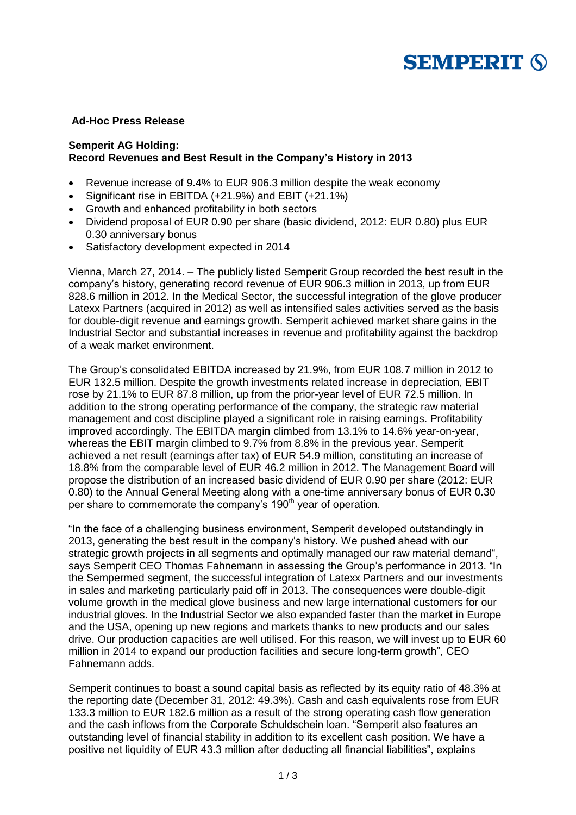

# **Ad-Hoc Press Release**

## **Semperit AG Holding: Record Revenues and Best Result in the Company's History in 2013**

- Revenue increase of 9.4% to EUR 906.3 million despite the weak economy
- Significant rise in EBITDA (+21.9%) and EBIT (+21.1%)
- Growth and enhanced profitability in both sectors
- Dividend proposal of EUR 0.90 per share (basic dividend, 2012: EUR 0.80) plus EUR 0.30 anniversary bonus
- Satisfactory development expected in 2014

Vienna, March 27, 2014. – The publicly listed Semperit Group recorded the best result in the company's history, generating record revenue of EUR 906.3 million in 2013, up from EUR 828.6 million in 2012. In the Medical Sector, the successful integration of the glove producer Latexx Partners (acquired in 2012) as well as intensified sales activities served as the basis for double-digit revenue and earnings growth. Semperit achieved market share gains in the Industrial Sector and substantial increases in revenue and profitability against the backdrop of a weak market environment.

The Group's consolidated EBITDA increased by 21.9%, from EUR 108.7 million in 2012 to EUR 132.5 million. Despite the growth investments related increase in depreciation, EBIT rose by 21.1% to EUR 87.8 million, up from the prior-year level of EUR 72.5 million. In addition to the strong operating performance of the company, the strategic raw material management and cost discipline played a significant role in raising earnings. Profitability improved accordingly. The EBITDA margin climbed from 13.1% to 14.6% year-on-year, whereas the EBIT margin climbed to 9.7% from 8.8% in the previous year. Semperit achieved a net result (earnings after tax) of EUR 54.9 million, constituting an increase of 18.8% from the comparable level of EUR 46.2 million in 2012. The Management Board will propose the distribution of an increased basic dividend of EUR 0.90 per share (2012: EUR 0.80) to the Annual General Meeting along with a one-time anniversary bonus of EUR 0.30 per share to commemorate the company's 190<sup>th</sup> year of operation.

"In the face of a challenging business environment, Semperit developed outstandingly in 2013, generating the best result in the company's history. We pushed ahead with our strategic growth projects in all segments and optimally managed our raw material demand", says Semperit CEO Thomas Fahnemann in assessing the Group's performance in 2013. "In the Sempermed segment, the successful integration of Latexx Partners and our investments in sales and marketing particularly paid off in 2013. The consequences were double-digit volume growth in the medical glove business and new large international customers for our industrial gloves. In the Industrial Sector we also expanded faster than the market in Europe and the USA, opening up new regions and markets thanks to new products and our sales drive. Our production capacities are well utilised. For this reason, we will invest up to EUR 60 million in 2014 to expand our production facilities and secure long-term growth", CEO Fahnemann adds.

Semperit continues to boast a sound capital basis as reflected by its equity ratio of 48.3% at the reporting date (December 31, 2012: 49.3%). Cash and cash equivalents rose from EUR 133.3 million to EUR 182.6 million as a result of the strong operating cash flow generation and the cash inflows from the Corporate Schuldschein loan. "Semperit also features an outstanding level of financial stability in addition to its excellent cash position. We have a positive net liquidity of EUR 43.3 million after deducting all financial liabilities", explains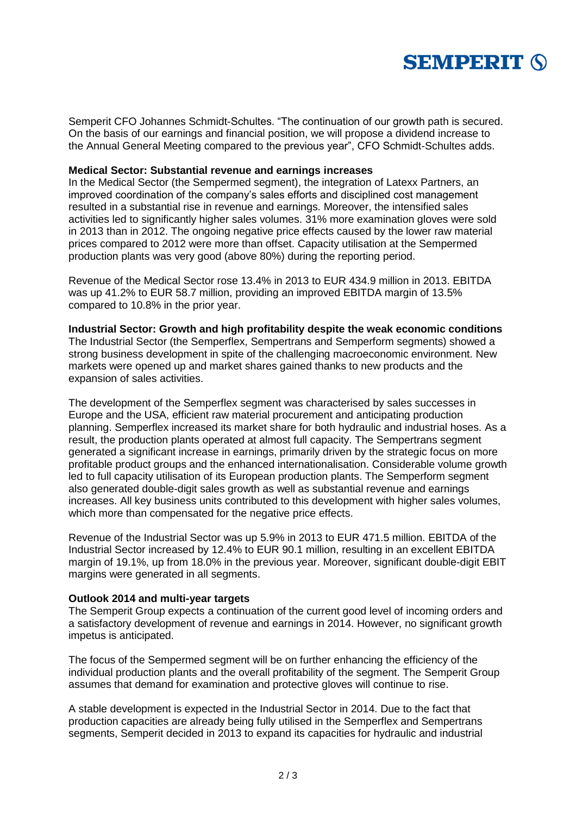

Semperit CFO Johannes Schmidt-Schultes. "The continuation of our growth path is secured. On the basis of our earnings and financial position, we will propose a dividend increase to the Annual General Meeting compared to the previous year", CFO Schmidt-Schultes adds.

### **Medical Sector: Substantial revenue and earnings increases**

In the Medical Sector (the Sempermed segment), the integration of Latexx Partners, an improved coordination of the company's sales efforts and disciplined cost management resulted in a substantial rise in revenue and earnings. Moreover, the intensified sales activities led to significantly higher sales volumes. 31% more examination gloves were sold in 2013 than in 2012. The ongoing negative price effects caused by the lower raw material prices compared to 2012 were more than offset. Capacity utilisation at the Sempermed production plants was very good (above 80%) during the reporting period.

Revenue of the Medical Sector rose 13.4% in 2013 to EUR 434.9 million in 2013. EBITDA was up 41.2% to EUR 58.7 million, providing an improved EBITDA margin of 13.5% compared to 10.8% in the prior year.

#### **Industrial Sector: Growth and high profitability despite the weak economic conditions**

The Industrial Sector (the Semperflex, Sempertrans and Semperform segments) showed a strong business development in spite of the challenging macroeconomic environment. New markets were opened up and market shares gained thanks to new products and the expansion of sales activities.

The development of the Semperflex segment was characterised by sales successes in Europe and the USA, efficient raw material procurement and anticipating production planning. Semperflex increased its market share for both hydraulic and industrial hoses. As a result, the production plants operated at almost full capacity. The Sempertrans segment generated a significant increase in earnings, primarily driven by the strategic focus on more profitable product groups and the enhanced internationalisation. Considerable volume growth led to full capacity utilisation of its European production plants. The Semperform segment also generated double-digit sales growth as well as substantial revenue and earnings increases. All key business units contributed to this development with higher sales volumes, which more than compensated for the negative price effects.

Revenue of the Industrial Sector was up 5.9% in 2013 to EUR 471.5 million. EBITDA of the Industrial Sector increased by 12.4% to EUR 90.1 million, resulting in an excellent EBITDA margin of 19.1%, up from 18.0% in the previous year. Moreover, significant double-digit EBIT margins were generated in all segments.

### **Outlook 2014 and multi-year targets**

The Semperit Group expects a continuation of the current good level of incoming orders and a satisfactory development of revenue and earnings in 2014. However, no significant growth impetus is anticipated.

The focus of the Sempermed segment will be on further enhancing the efficiency of the individual production plants and the overall profitability of the segment. The Semperit Group assumes that demand for examination and protective gloves will continue to rise.

A stable development is expected in the Industrial Sector in 2014. Due to the fact that production capacities are already being fully utilised in the Semperflex and Sempertrans segments, Semperit decided in 2013 to expand its capacities for hydraulic and industrial